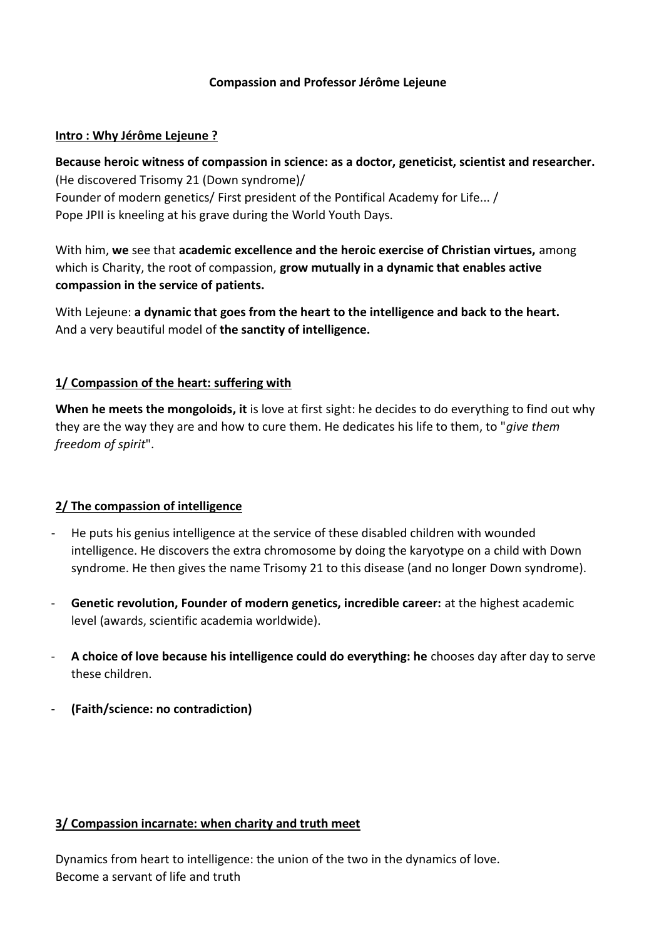### **Compassion and Professor Jérôme Lejeune**

### **Intro : Why Jérôme Lejeune ?**

**Because heroic witness of compassion in science: as a doctor, geneticist, scientist and researcher.**  (He discovered Trisomy 21 (Down syndrome)/ Founder of modern genetics/ First president of the Pontifical Academy for Life... / Pope JPII is kneeling at his grave during the World Youth Days.

With him, **we** see that **academic excellence and the heroic exercise of Christian virtues,** among which is Charity, the root of compassion, **grow mutually in a dynamic that enables active compassion in the service of patients.**

With Lejeune: **a dynamic that goes from the heart to the intelligence and back to the heart.** And a very beautiful model of **the sanctity of intelligence.**

### **1/ Compassion of the heart: suffering with**

**When he meets the mongoloids, it** is love at first sight: he decides to do everything to find out why they are the way they are and how to cure them. He dedicates his life to them, to "*give them freedom of spirit*".

# **2/ The compassion of intelligence**

- He puts his genius intelligence at the service of these disabled children with wounded intelligence. He discovers the extra chromosome by doing the karyotype on a child with Down syndrome. He then gives the name Trisomy 21 to this disease (and no longer Down syndrome).
- **Genetic revolution, Founder of modern genetics, incredible career:** at the highest academic level (awards, scientific academia worldwide).
- **A choice of love because his intelligence could do everything: he** chooses day after day to serve these children.
- **(Faith/science: no contradiction)**

# **3/ Compassion incarnate: when charity and truth meet**

Dynamics from heart to intelligence: the union of the two in the dynamics of love. Become a servant of life and truth